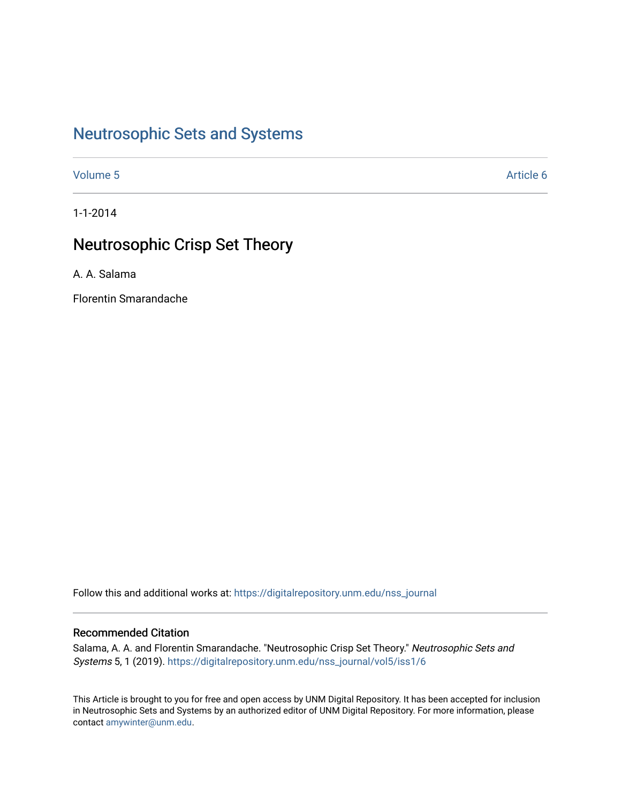## [Neutrosophic Sets and Systems](https://digitalrepository.unm.edu/nss_journal)

[Volume 5](https://digitalrepository.unm.edu/nss_journal/vol5) Article 6

1-1-2014

## Neutrosophic Crisp Set Theory

A. A. Salama

Florentin Smarandache

Follow this and additional works at: [https://digitalrepository.unm.edu/nss\\_journal](https://digitalrepository.unm.edu/nss_journal?utm_source=digitalrepository.unm.edu%2Fnss_journal%2Fvol5%2Fiss1%2F6&utm_medium=PDF&utm_campaign=PDFCoverPages) 

### Recommended Citation

Salama, A. A. and Florentin Smarandache. "Neutrosophic Crisp Set Theory." Neutrosophic Sets and Systems 5, 1 (2019). [https://digitalrepository.unm.edu/nss\\_journal/vol5/iss1/6](https://digitalrepository.unm.edu/nss_journal/vol5/iss1/6?utm_source=digitalrepository.unm.edu%2Fnss_journal%2Fvol5%2Fiss1%2F6&utm_medium=PDF&utm_campaign=PDFCoverPages)

This Article is brought to you for free and open access by UNM Digital Repository. It has been accepted for inclusion in Neutrosophic Sets and Systems by an authorized editor of UNM Digital Repository. For more information, please contact [amywinter@unm.edu](mailto:amywinter@unm.edu).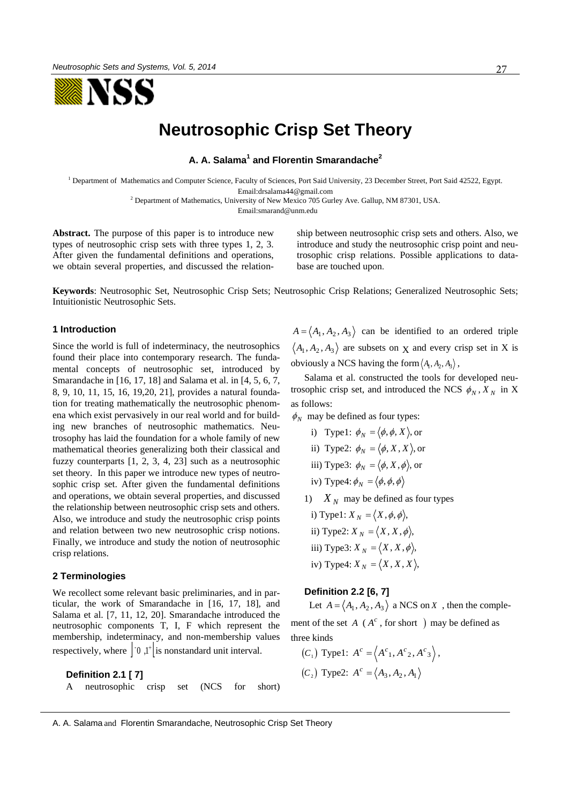

# **Neutrosophic Crisp Set Theory**

**A. A. Salama<sup>1</sup> and Florentin Smarandache<sup>2</sup>**

<sup>1</sup> Department of Mathematics and Computer Science, Faculty of Sciences, Port Said University, 23 December Street, Port Said 42522, Egypt. Emai[l:drsalama44@gmail.com](mailto:drsalama44@gmail.com)

<sup>2</sup> Department of Mathematics, University of New Mexico 705 Gurley Ave. Gallup, NM 87301, USA.

Emai[l:smarand@unm.edu](mailto:smarand@unm.edu)

**Abstract.** The purpose of this paper is to introduce new types of neutrosophic crisp sets with three types 1, 2, 3. After given the fundamental definitions and operations, we obtain several properties, and discussed the relation-

ship between neutrosophic crisp sets and others. Also, we introduce and study the neutrosophic crisp point and neutrosophic crisp relations. Possible applications to database are touched upon.

**Keywords**: Neutrosophic Set, Neutrosophic Crisp Sets; Neutrosophic Crisp Relations; Generalized Neutrosophic Sets; Intuitionistic Neutrosophic Sets.

#### **1 Introduction**

Since the world is full of indeterminacy, the neutrosophics found their place into contemporary research. The fundamental concepts of neutrosophic set, introduced by Smarandache in [16, 17, 18] and Salama et al. in [4, 5, 6, 7, 8, 9, 10, 11, 15, 16, 19,20, 21], provides a natural foundation for treating mathematically the neutrosophic phenomena which exist pervasively in our real world and for building new branches of neutrosophic mathematics. Neutrosophy has laid the foundation for a whole family of new mathematical theories generalizing both their classical and fuzzy counterparts [1, 2, 3, 4, 23] such as a neutrosophic set theory. In this paper we introduce new types of neutrosophic crisp set. After given the fundamental definitions and operations, we obtain several properties, and discussed the relationship between neutrosophic crisp sets and others. Also, we introduce and study the neutrosophic crisp points and relation between two new neutrosophic crisp notions. Finally, we introduce and study the notion of neutrosophic crisp relations.

#### **2 Terminologies**

We recollect some relevant basic preliminaries, and in particular, the work of Smarandache in [16, 17, 18], and Salama et al. [7, 11, 12, 20]. Smarandache introduced the neutrosophic components T, I, F which represent the membership, indeterminacy, and non-membership values respectively, where  $\begin{bmatrix} 0 \\ 1 \end{bmatrix}$  is nonstandard unit interval.

**Definition 2.1 [ 7]** 

A neutrosophic crisp set (NCS for short)

 $A = \langle A_1, A_2, A_3 \rangle$  can be identified to an ordered triple  $A_1, A_2, A_3$  are subsets on X and every crisp set in X is obviously a NCS having the form  $\langle A_1, A_2, A_3 \rangle$ ,

Salama et al. constructed the tools for developed neutrosophic crisp set, and introduced the NCS  $\phi_N$ ,  $X_N$  in X as follows:

 $\phi_N$  may be defined as four types:

- i) Type1:  $\phi_N = \langle \phi, \phi, X \rangle$ , or ii) Type2:  $\phi_N = \langle \phi, X, X \rangle$ , or iii) Type3:  $\phi_N = \langle \phi, X, \phi \rangle$ , or iv) Type4:  $\phi_N = \langle \phi, \phi, \phi \rangle$
- 1)  $X_N$  may be defined as four types
- i) Type1:  $X_N = \langle X, \phi, \phi \rangle$ , ii) Type2:  $X_N = \langle X, X, \phi \rangle$ , iii) Type3:  $X_N = \langle X, X, \phi \rangle$ , iv) Type4:  $X_N = \langle X, X, X \rangle$ ,

### **Definition 2.2 [6, 7]**

Let  $A = \langle A_1, A_2, A_3 \rangle$  a NCS on *X*, then the complement of the set  $A(A^c)$ , for short ) may be defined as three kinds

(C<sub>1</sub>) Type1: 
$$
A^c = \langle A^c_1, A^c_2, A^c_3 \rangle
$$
,  
(C<sub>2</sub>) Type2:  $A^c = \langle A_3, A_2, A_1 \rangle$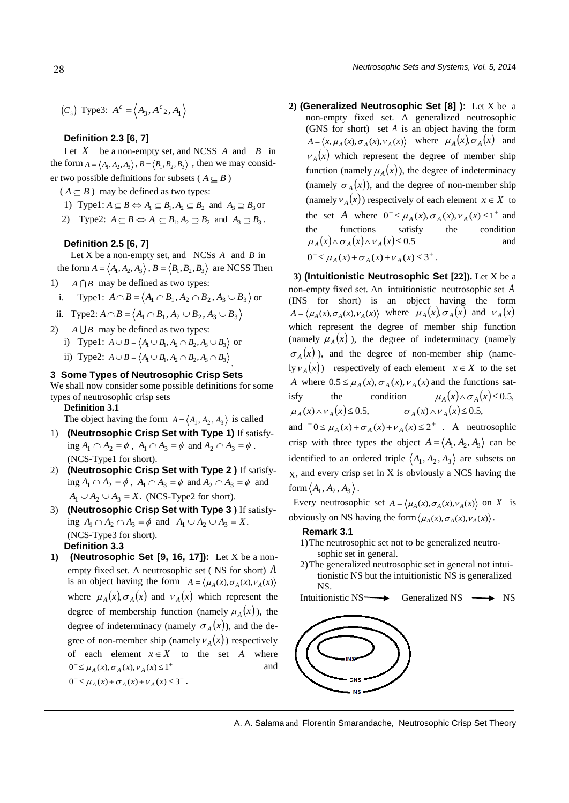$(C_3)$  Type3:  $A^c = \langle A_3, A^c_2, A_1 \rangle$ 

### **Definition 2.3 [6, 7]**

Let  $X$  be a non-empty set, and NCSS  $A$  and  $B$  in the form  $A = \langle A_1, A_2, A_3 \rangle$ ,  $B = \langle B_1, B_2, B_3 \rangle$ , then we may consider two possible definitions for subsets ( $A \subseteq B$ )

 $(A \subseteq B)$  may be defined as two types:

1) Type1:  $A \subseteq B \Leftrightarrow A_1 \subseteq B_1, A_2 \subseteq B_2$  and  $A_3 \supseteq B_3$  or

2) Type2:  $A \subseteq B \Leftrightarrow A_1 \subseteq B_1, A_2 \supseteq B_2$  and  $A_3 \supseteq B_3$ .

#### **Definition 2.5 [6, 7]**

Let X be a non-empty set, and NCSs A and B in the form  $A = \langle A_1, A_2, A_3 \rangle$ ,  $B = \langle B_1, B_2, B_3 \rangle$  are NCSS Then

- 1)  $A \cap B$  may be defined as two types:
	- i. Type1:  $A \cap B = \langle A_1 \cap B_1, A_2 \cap B_2, A_3 \cup B_3 \rangle$  or
- ii. Type2:  $A \cap B = \langle A_1 \cap B_1, A_2 \cup B_2, A_3 \cup B_3 \rangle$
- 2)  $A \cup B$  may be defined as two types:
	- i) Type1:  $A \cup B = \langle A_1 \cup B_1, A_2 \cap B_2, A_3 \cup B_3 \rangle$  or
	- ii) Type2:  $A \cup B = \langle A_1 \cup B_1, A_2 \cap B_2, A_3 \cap B_3 \rangle$ .

#### **3 Some Types of Neutrosophic Crisp Sets**

We shall now consider some possible definitions for some types of neutrosophic crisp sets

#### **Definition 3.1**

The object having the form  $A = \langle A_1, A_2, A_3 \rangle$  is called

- 1) **(Neutrosophic Crisp Set with Type 1)** If satisfying  $A_1 \cap A_2 = \phi$ ,  $A_1 \cap A_3 = \phi$  and  $A_2 \cap A_3 = \phi$ . (NCS-Type1 for short).
- 2) **(Neutrosophic Crisp Set with Type 2 )** If satisfying  $A_1 \cap A_2 = \emptyset$ ,  $A_1 \cap A_3 = \emptyset$  and  $A_2 \cap A_3 = \emptyset$  and  $A_1 \cup A_2 \cup A_3 = X$ . (NCS-Type2 for short).
- 3) **(Neutrosophic Crisp Set with Type 3 )** If satisfying  $A_1 \cap A_2 \cap A_3 = \phi$  and  $A_1 \cup A_2 \cup A_3 = X$ . (NCS-Type3 for short). **Definition 3.3**
- **1) (Neutrosophic Set [9, 16, 17]):** Let X be a nonempty fixed set. A neutrosophic set ( NS for short) *A* is an object having the form  $A = \langle \mu_A(x), \sigma_A(x), \nu_A(x) \rangle$ where  $\mu_A(x), \sigma_A(x)$  and  $v_A(x)$  which represent the degree of membership function (namely  $\mu_A(x)$ ), the degree of indeterminacy (namely  $\sigma_A(x)$ ), and the degree of non-member ship (namely  $v_A(x)$ ) respectively of each element  $x \in X$  to the set A where  $0^{-} \leq \mu_A(x), \sigma_A(x), \nu_A(x) \leq 1^{+}$ and  $0^{-} \leq \mu_A(x) + \sigma_A(x) + \nu_A(x) \leq 3^{+}$ .

**2) (Generalized Neutrosophic Set [8] ):** Let X be a non-empty fixed set. A generalized neutrosophic (GNS for short) set *A* is an object having the form  $A = \langle x, \mu_A(x), \sigma_A(x), \nu_A(x) \rangle$  where  $\mu_A(x), \sigma_A(x)$  and  $v_A(x)$  which represent the degree of member ship function (namely  $\mu_A(x)$ ), the degree of indeterminacy (namely  $\sigma_A(x)$ ), and the degree of non-member ship (namely  $v_A(x)$ ) respectively of each element  $x \in X$  to the set A where  $0^- \leq \mu_A(x), \sigma_A(x), \nu_A(x) \leq 1^+$  and the functions satisfy the condition the functions satis<br>  $\mu_A(x) \wedge \sigma_A(x) \wedge \nu_A(x) \le 0.5$  and  $0^{-} \leq \mu_A(x) + \sigma_A(x) + \nu_A(x) \leq 3^{+}$ .

**3) (Intuitionistic Neutrosophic Set [22]).** Let X be a non-empty fixed set. An intuitionistic neutrosophic set *A* (INS for short) is an object having the form  $A = \langle \mu_A(x), \sigma_A(x), \nu_A(x) \rangle$  where  $\mu_A(x), \sigma_A(x)$  and  $\nu_A(x)$ which represent the degree of member ship function (namely  $\mu_A(x)$ ), the degree of indeterminacy (namely  $\sigma_A(x)$ ), and the degree of non-member ship (name- $\ln V_A(x)$  respectively of each element  $x \in X$  to the set *A* where  $0.5 \leq \mu_A(x), \sigma_A(x), \nu_A(x)$  and the functions satisfy the condition  $\mu_A(x) \wedge \sigma_A(x) \leq 0.5$ ,  $\mu_A(x) \wedge \nu_A(x) \le 0.5, \qquad \sigma_A$  $\sigma_A(x) \wedge \nu_A(x) \leq 0.5$ 

and  $-0 \leq \mu_A(x) + \sigma_A(x) + \nu_A(x) \leq 2^+$ . A neutrosophic crisp with three types the object  $A = \langle A_1, A_2, A_3 \rangle$  can be identified to an ordered triple  $\langle A_1, A_2, A_3 \rangle$  are subsets on X, and every crisp set in X is obviously a NCS having the form  $\langle A_1, A_2, A_3 \rangle$ .

Every neutrosophic set  $A = \langle \mu_A(x), \sigma_A(x), \nu_A(x) \rangle$  on X is obviously on NS having the form  $\langle \mu_A(x), \sigma_A(x), \nu_A(x) \rangle$ .

#### **Remark 3.1**

- 1)The neutrosophic set not to be generalized neutrosophic set in general.
- 2)The generalized neutrosophic set in general not intuitionistic NS but the intuitionistic NS is generalized NS.

$$
Intuitionistic NS \longrightarrow Generalized NS \longrightarrow NS
$$

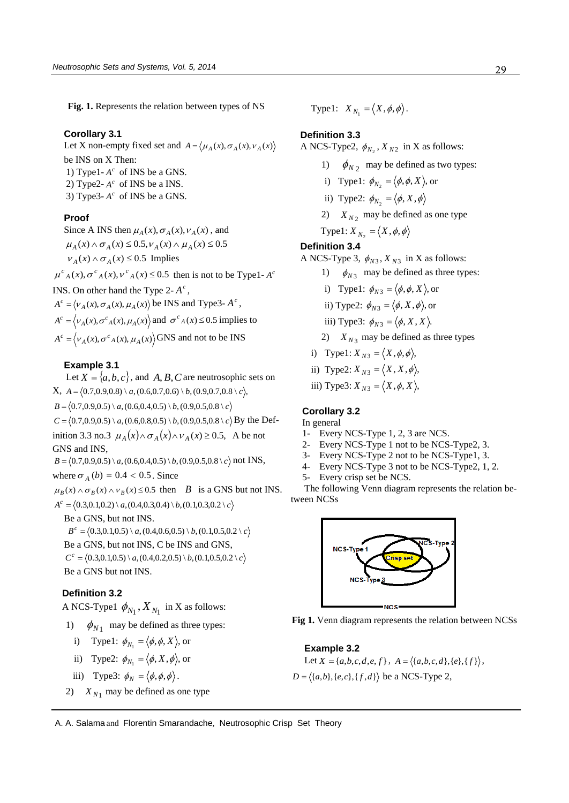**Fig. 1.** Represents the relation between types of NS

#### **Corollary 3.1**

Let X non-empty fixed set and  $A = \langle \mu_A(x), \sigma_A(x), \nu_A(x) \rangle$ 

be INS on X Then: 1) Type1- $A^c$  of INS be a GNS. 2) Type2- $A^c$  of INS be a INS. 3) Type3- $A^c$  of INS be a GNS.

#### **Proof**

Since A INS then  $\mu_A(x), \sigma_A(x), \nu_A(x)$ , and  $\mu_A(x) \wedge \sigma_A(x) \le 0.5, \nu_A(x) \wedge \mu_A(x) \le 0.5$  $v_A(x) \wedge \sigma_A(x) \leq 0.5$  Implies

 $\mu^{c}$ <sub>*A*</sub>(*x*),  $\sigma^{c}$ <sub>*A*</sub>(*x*),  $\nu^{c}$ <sub>*A*</sub>(*x*)  $\leq$  0.5 then is not to be Type1-*A<sup>c</sup>* INS. On other hand the Type  $2 - A^c$ ,

 $A^c = \langle v_A(x), \sigma_A(x), \mu_A(x) \rangle$  be INS and Type3- $A^c$ ,  $A^c = \langle V_A(x), \sigma^c{}_A(x), \mu_A(x) \rangle$  and  $\sigma^c{}_A(x) \le 0.5$  implies to  $A^c = \langle V_A(x), \sigma^c{}_A(x), \mu_A(x) \rangle$  GNS and not to be INS

#### **Example 3.1**

Let  $X = \{a, b, c\}$ , and  $A, B, C$  are neutrosophic sets on  $X, A = \langle 0.7, 0.9, 0.8 \rangle \setminus a, (0.6, 0.7, 0.6) \setminus b, (0.9, 0.7, 0.8 \setminus c),$  $B = \langle 0.7, 0.9, 0.5 \rangle \setminus a$ ,  $(0.6, 0.4, 0.5) \setminus b$ ,  $(0.9, 0.5, 0.8 \setminus c)$  $C = \langle 0.7, 0.9, 0.5 \rangle \setminus a$ ,  $(0.6, 0.8, 0.5) \setminus b$ ,  $(0.9, 0.5, 0.8 \setminus c)$  By the Definition 3.3 no.3  $\mu_A(x) \wedge \sigma_A(x) \wedge \nu_A(x) \ge 0.5$ , A be not GNS and INS,  $B = \langle 0.7, 0.9, 0.5 \rangle \setminus a$ ,  $(0.6, 0.4, 0.5) \setminus b$ ,  $(0.9, 0.5, 0.8 \setminus c)$  not INS, where  $\sigma_A$  (*b*) = 0.4 < 0.5. Since

 $\mu_B(x) \wedge \sigma_B(x) \wedge \nu_B(x) \leq 0.5$  then *B* is a GNS but not INS.  $A^c = \langle 0.3, 0.1, 0.2 \rangle \setminus a$ ,  $(0.4, 0.3, 0.4) \setminus b$ ,  $(0.1, 0.3, 0.2 \setminus c)$ 

Be a GNS, but not INS.

 $B^c = \langle 0.3, 0.1, 0.5 \rangle \setminus a$ ,  $(0.4, 0.6, 0.5) \setminus b$ ,  $(0.1, 0.5, 0.2 \setminus c)$ 

Be a GNS, but not INS, C be INS and GNS,

 $C^c = \langle 0.3, 0.1, 0.5 \rangle \setminus a$ ,  $(0.4, 0.2, 0.5) \setminus b$ ,  $(0.1, 0.5, 0.2 \setminus c)$ Be a GNS but not INS.

### **Definition 3.2**

A NCS-Type1  $\phi_{N_1}$ ,  $X_{N_1}$  in X as follows:

- 1)  $\phi_{N_1}$  may be defined as three types:
	- i) Type1:  $\phi_{N_1} = \langle \phi, \phi, X \rangle$ , or
	- ii) Type2:  $\phi_{N_1} = \langle \phi, X, \phi \rangle$ , or
	- iii) Type3:  $\phi_N = \langle \phi, \phi, \phi \rangle$ .
- 2)  $X_{N_1}$  may be defined as one type

Type1:  $X_{N_1} = \langle X, \phi, \phi \rangle$ .

### **Definition 3.3**

A NCS-Type2,  $\phi_{N_2}$ ,  $X_{N_2}$  in X as follows:

- 1)  $\phi_{N_2}$  may be defined as two types:
- i) Type1:  $\phi_{N_2} = \langle \phi, \phi, X \rangle$ , or
- ii) Type2:  $\phi_{N_2} = \langle \phi, X, \phi \rangle$
- 2)  $X_{N_2}$  may be defined as one type

Type1: 
$$
X_{N_2} = \langle X, \phi, \phi \rangle
$$

### **Definition 3.4**

A NCS-Type 3,  $\phi_{N3}$ ,  $X_{N3}$  in X as follows:

- 1)  $\phi_{N_3}$  may be defined as three types:
- i) Type1:  $\phi_{N3} = \langle \phi, \phi, X \rangle$ , or
- ii) Type2:  $\phi_{N3} = \langle \phi, X, \phi \rangle$ , or
- iii) Type3:  $\phi_{N3} = \langle \phi, X, X \rangle$ .
- 2)  $X_{N_3}$  may be defined as three types
- i) Type1:  $X_{N3} = \langle X, \phi, \phi \rangle$ ,
- ii) Type2:  $X_{N3} = \langle X, X, \phi \rangle$ ,
- iii) Type3:  $X_{N3} = \langle X, \phi, X \rangle$ ,

### **Corollary 3.2**

In general

- 1- Every NCS-Type 1, 2, 3 are NCS.
- 2- Every NCS-Type 1 not to be NCS-Type2, 3.
- 3- Every NCS-Type 2 not to be NCS-Type1, 3.
- 4- Every NCS-Type 3 not to be NCS-Type2, 1, 2.
- 5- Every crisp set be NCS.

The following Venn diagram represents the relation between NCSs



**Fig 1.** Venn diagram represents the relation between NCSs

### **Example 3.2**

Let  $X = \{a,b,c,d,e,f\}$ ,  $A = \langle \{a,b,c,d\}, \{e\}, \{f\} \rangle$ ,  $D = \langle \{a,b\}, \{e,c\}, \{f,d\} \rangle$  be a NCS-Type 2,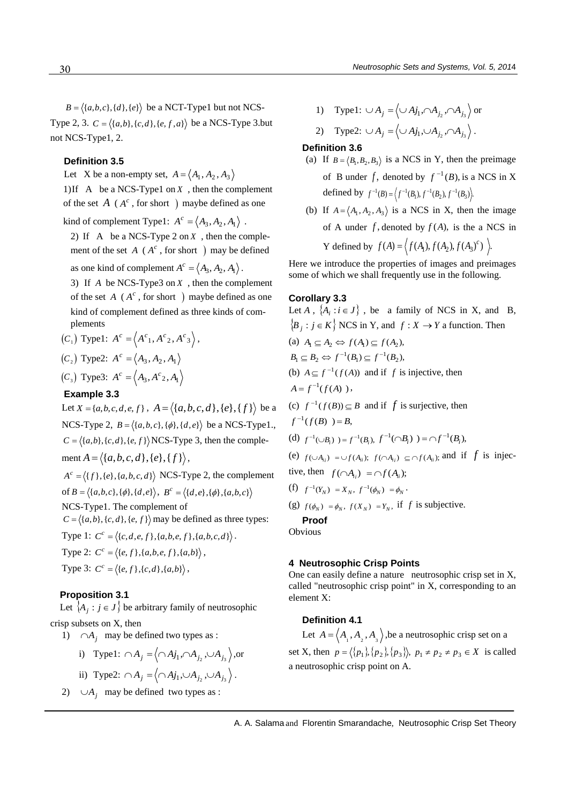$B = \langle \{a,b,c\}, \{d\}, \{e\} \rangle$  be a NCT-Type1 but not NCS-Type 2, 3.  $C = \langle \{a,b\}, \{c,d\}, \{e,f,a\} \rangle$  be a NCS-Type 3.but not NCS-Type1, 2.

### **Definition 3.5**

Let X be a non-empty set,  $A = \langle A_1, A_2, A_3 \rangle$ 

1)If A be a NCS-Type1 on *X* , then the complement of the set  $A(A^c)$ , for short  $\overline{a}$  maybe defined as one

kind of complement Type1:  $A^c = \langle A_3, A_2, A_1 \rangle$ .

2) If A be a NCS-Type  $2 \text{ on } X$ , then the complement of the set  $A(A^c, \text{ for short } )$  may be defined

as one kind of complement  $A^c = \langle A_3, A_2, A_1 \rangle$ .

3) If *A* be NCS-Type3 on *X* , then the complement of the set  $A(A^c)$ , for short ) maybe defined as one kind of complement defined as three kinds of complements

$$
(C_1) \text{ Type1: } A^c = \langle A^c_1, A^c_2, A^c_3 \rangle,
$$

$$
(C_2) \text{ Type2: } A^c = \langle A_3, A_2, A_1 \rangle
$$

$$
(C_3)
$$
 Type3:  $A^c = \langle A_3, A^c_2, A_1 \rangle$ 

### **Example 3.3**

Let *X* = {*a*,*b*,*c*,*d*,*e*,*f* },  $A = \langle \{a,b,c,d\}, \{e\}, \{f\} \rangle$  be a NCS-Type 2,  $B = \langle \{a,b,c\}, \{\phi\}, \{d,e\} \rangle$  be a NCS-Type1.,  $C = \langle \{a,b\}, \{c,d\}, \{e,f\} \rangle$  NCS-Type 3, then the complement  $A = \langle \{a,b,c,d\}, \{e\}, \{f\} \rangle$ ,

 $A^c = \langle \{f\}, \{e\}, \{a, b, c, d\} \rangle$  NCS-Type 2, the complement of  $B = \langle \{a,b,c\}, \{\phi\}, \{d,e\} \rangle$ ,  $B^c = \langle \{d,e\}, \{\phi\}, \{a,b,c\} \rangle$ NCS-Type1. The complement of  $C = \langle \{a,b\}, \{c,d\}, \{e,f\} \rangle$  may be defined as three types: Type 1:  $C^c = \langle \{c, d, e, f\}, \{a, b, e, f\}, \{a, b, c, d\} \rangle$ .

Type 2:  $C^c = \langle \{e, f\}, \{a,b,e,f\}, \{a,b\} \rangle$ ,

Type 3:  $C^c = \langle \{e, f\}, \{c, d\}, \{a, b\} \rangle$ ,

### **Proposition 3.1**

Let  $\{A_j : j \in J\}$  be arbitrary family of neutrosophic crisp subsets on X, then

1)  $\cap A_j$  may be defined two types as :

i) Type1: 
$$
\bigcap A_j = \bigg\langle \bigcap Aj_1, \bigcap A_{j_2}, \bigcup A_{j_3} \bigg\rangle
$$
, or  
ii) Type2:  $\bigcap A_j = \bigg\langle \bigcap Aj_1, \bigcup A_{j_2}, \bigcup A_{j_3} \bigg\rangle$ .

2)  $\cup A_j$  may be defined two types as :

1) Type1:  $\bigcup A_j = \left\langle \bigcup A_{j_1} \cap A_{j_2} \cap A_{j_3} \right\rangle$  or

2) Type2: 
$$
\bigcup A_j = \bigg\langle \bigcup Aj_1, \bigcup A_{j_2}, \bigcap A_{j_3} \bigg\rangle.
$$

#### **Definition 3.6**

(a) If  $B = \langle B_1, B_2, B_3 \rangle$  is a NCS in Y, then the preimage of B under f, denoted by  $f^{-1}(B)$ , is a NCS in X defined by  $f^{-1}(B) = \left\langle f^{-1}(B_1), f^{-1}(B_2), f^{-1}(B_3) \right\rangle$ .

(b) If  $A = \langle A_1, A_2, A_3 \rangle$  is a NCS in X, then the image of A under  $f$ , denoted by  $f(A)$ , is the a NCS in **Y** defined by  $f(A) = \langle f(A_1), f(A_2), f(A_3) \rangle$ .

Here we introduce the properties of images and preimages some of which we shall frequently use in the following.

#### **Corollary 3.3**

Let  $A$ ,  $\{A_i : i \in J\}$ , be a family of NCS in X, and B,  $\{B_j : j \in K\}$  NCS in Y, and  $f : X \to Y$  a function. Then (a)  $A_1 \subseteq A_2 \Leftrightarrow f(A_1) \subseteq f(A_2)$ ,  $B_1 \subseteq B_2 \Leftrightarrow f^{-1}(B_1) \subseteq f^{-1}(B_2),$ (b)  $A \subseteq f^{-1}(f(A))$  and if f is injective, then  $A = f^{-1}(f(A))$ , (c)  $f^{-1}(f(B)) \subseteq B$  and if f is surjective, then  $f^{-1}(f(B)) = B,$ (d)  $f^{-1}(\cup B_i)$   $) = f^{-1}(B_i)$ ,  $f^{-1}(\cap B_i)$   $) = \cap f^{-1}(B_i)$ , (e)  $f(\cup A_{ii}) = \cup f(A_{ii})$ ;  $f(\cap A_{ii}) \subseteq \cap f(A_{ii})$ ; and if f is injective, then  $f(\bigcap A_{i}$   $) = \bigcap f(A_{i}$ ; (f)  $f^{-1}(Y_N) = X_N$ ,  $f^{-1}(\phi_N) = \phi_N$ . (g)  $f(\phi_N) = \phi_N$ ,  $f(X_N) = Y_N$ , if f is subjective. **Proof**  Obvious

### **4 Neutrosophic Crisp Points**

One can easily define a nature neutrosophic crisp set in X, called "neutrosophic crisp point" in X, corresponding to an element X:

### **Definition 4.1**

Let  $A = \langle A_1, A_2, A_3 \rangle$ , be a neutrosophic crisp set on a set X, then  $p = \langle {p_1}, {p_2}, {p_3} \rangle$ ,  $p_1 \neq p_2 \neq p_3 \in X$  is called a neutrosophic crisp point on A.

30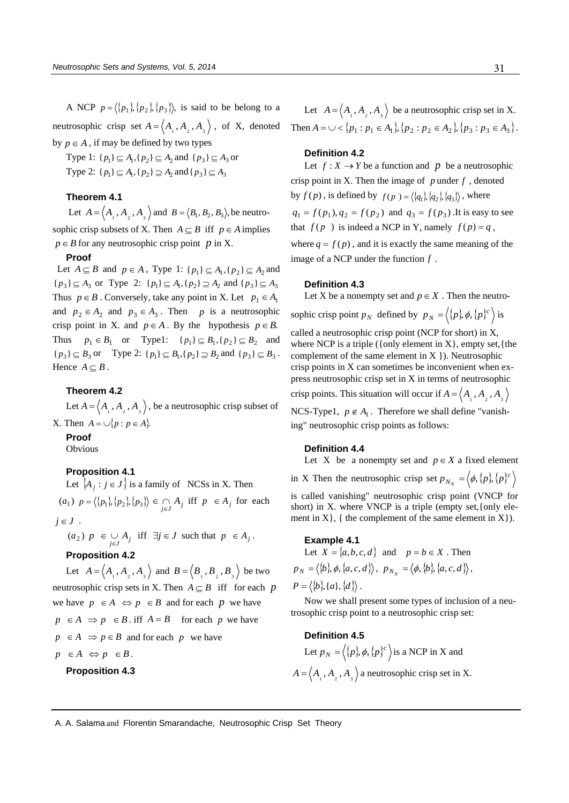A NCP  $p = \langle \{p_1\}, \{p_2\}, \{p_3\} \rangle$ , is said to be belong to a neutrosophic crisp set  $A = \langle A_1, A_2, A_3 \rangle$ , of X, denoted by  $p \in A$ , if may be defined by two types

Type 1:  $\{p_1\} \subseteq A_1, \{p_2\} \subseteq A_2$  and  $\{p_3\} \subseteq A_3$  or Type 2:  $\{p_1\} \subseteq A_1, \{p_2\} \supseteq A_2$  and  $\{p_3\} \subseteq A_3$ 

### **Theorem 4.1**

Let  $A = \langle A_1, A_2, A_3 \rangle$  and  $B = \langle B_1, B_2, B_3 \rangle$ , be neutrosophic crisp subsets of X. Then  $A \subseteq B$  iff  $p \in A$  implies  $p \in B$  for any neutrosophic crisp point p in X.

#### **Proof**

Let  $A \subseteq B$  and  $p \in A$ , Type 1:  $\{p_1\} \subseteq A_1$ ,  $\{p_2\} \subseteq A_2$  and  ${p_3} \subseteq A_3$  or Type 2:  ${p_1} \subseteq A_1, {p_2} \supseteq A_2$  and  ${p_3} \subseteq A_3$ Thus  $p \in B$ . Conversely, take any point in X. Let  $p_1 \in A_1$ and  $p_2 \in A_2$  and  $p_3 \in A_3$ . Then *p* is a neutrosophic crisp point in X. and  $p \in A$ . By the hypothesis  $p \in B$ . Thus  $p_1 \in B_1$  or Type1:  $\{p_1\} \subseteq B_1, \{p_2\} \subseteq B_2$  and  ${p_3} \subseteq B_3$  or Type 2:  ${p_1} \subseteq B_1, {p_2} \supseteq B_2$  and  ${p_3} \subseteq B_3$ . Hence  $A \subseteq B$ .

### **Theorem 4.2**

Let  $A = \langle A_1, A_2, A_3 \rangle$ , be a neutrosophic crisp subset of *X*. Then  $A = \bigcup \{p : p \in A\}$ .

### **Proof**

Obvious

#### **Proposition 4.1**

Let  $\{A_j : j \in J\}$  is a family of NCSs in X. Then  $(a_1)$   $p = \langle \{p_1\}, \{p_2\}, \{p_3\} \rangle \in \bigcap_{j \in J} A_j$  iff  $p \in A_j$  for each  $j \in J$ .

 $(a_2)$   $p \in \bigcup_{j \in J} A_j$  iff  $\exists j \in J$  such that  $p \in A_j$ .

### **Proposition 4.2**

Let  $A = \langle A_1, A_2, A_3 \rangle$  and  $B = \langle B_1, B_2, B_3 \rangle$  be two neutrosophic crisp sets in X. Then  $A \subseteq B$  iff for each p we have  $p \in A \Leftrightarrow p \in B$  and for each p we have  $p \in A \implies p \in B$ . iff  $A = B$  for each p we have  $p \in A \implies p \in B$  and for each p we have  $p \in A \Leftrightarrow p \in B$ . **Proposition 4.3** 

Let  $A = \langle A_1, A_2, A_3 \rangle$  be a neutrosophic crisp set in X.<br>  $\text{sn } A = \bigcup \{p_1 : p_1 \in A_1\}, \{p_2 : p_2 \in A_2\}, \{p_3 : p_3 \in A_3\}.$ Then  $A = \bigcup \{p_1 : p_1 \in A_1\}, \{p_2 : p_2 \in A_2\}, \{p_3 : p_3 \in A_3\}.$ 

### **Definition 4.2**

Let  $f: X \to Y$  be a function and p be a neutrosophic crisp point in X. Then the image of  $p$  under  $f$ , denoted by  $f(p)$ , is defined by  $f(p) = \langle \{q_1\}, \{q_2\}, \{q_3\} \rangle$ , where  $q_1 = f(p_1), q_2 = f(p_2)$  and  $q_3 = f(p_3)$ . It is easy to see that  $f(p)$  is indeed a NCP in Y, namely  $f(p) = q$ , where  $q = f(p)$ , and it is exactly the same meaning of the image of a NCP under the function *f* .

#### **Definition 4.3**

Let X be a nonempty set and  $p \in X$ . Then the neutrosophic crisp point  $p_N$  defined by  $p_N = \langle \{p\}, \phi, \{p\}^c \rangle$  is

called a neutrosophic crisp point (NCP for short) in X, where NCP is a triple ({only element in  $X$ }, empty set, {the complement of the same element in  $X \}$ ). Neutrosophic crisp points in X can sometimes be inconvenient when express neutrosophic crisp set in X in terms of neutrosophic crisp points. This situation will occur if  $A = \langle A_1, A_2, A_3 \rangle$ 

NCS-Type1,  $p \notin A_1$ . Therefore we shall define "vanishing" neutrosophic crisp points as follows:

#### **Definition 4.4**

Let X be a nonempty set and  $p \in X$  a fixed element

in X Then the neutrosophic crisp set  $p_{N_N} = \langle \phi, \{p\}, \{p\}^c \rangle$ is called vanishing" neutrosophic crisp point (VNCP for short) in X. where VNCP is a triple (empty set,{only element in  $X$ }, { the complement of the same element in  $X$ }).

#### **Example 4.1**

Let  $X = \{a, b, c, d\}$  and  $p = b \in X$ . Then  $p_N = \langle \{b\}, \phi, \{a, c, d\} \rangle, p_{N_N} = \langle \phi, \{b\}, \{a, c, d\} \rangle,$  $P = \langle \{b\}, \{a\}, \{d\} \rangle$ .

Now we shall present some types of inclusion of a neutrosophic crisp point to a neutrosophic crisp set:

**Definition 4.5**  Let  $p_N = \langle \{p\}, \phi, \{p\}^c \rangle$  is a NCP in X and  $A = \langle A_1, A_2, A_3 \rangle$  a neutrosophic crisp set in X.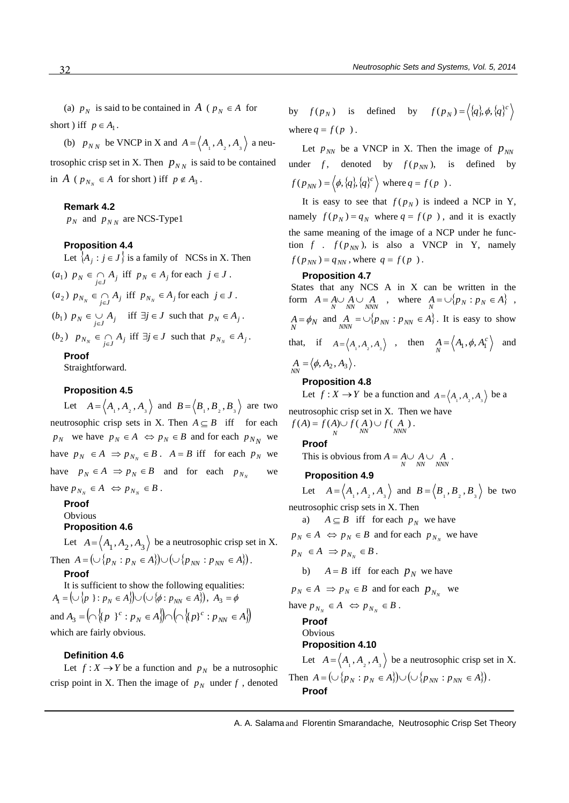(a)  $p_N$  is said to be contained in A ( $p_N \in A$  for short) iff  $p \in A_1$ .

(b)  $p_{NN}$  be VNCP in X and  $A = \langle A_1, A_2, A_3 \rangle$  a neutrosophic crisp set in X. Then  $p_{NN}$  is said to be contained in  $A$  ( $p_{N_N} \in A$  for short) iff  $p \notin A_3$ .

#### **Remark 4.2**

 $p_N$  and  $p_{NN}$  are NCS-Type1

### **Proposition 4.4**

Let  $\{A_j : j \in J\}$  is a family of NCSs in X. Then  $(a_1)$   $p_N \in \bigcap_{j \in J} A_j$  iff  $p_N \in A_j$  for each  $j \in J$ .

- 
- $(a_2)$   $p_{N_N} \in \bigcap_{j \in J} A_j$  iff  $p_{N_N} \in A_j$  for each  $j \in J$ .
- $(b_1)$   $p_N \in \bigcup_{j \in J} A_j$  iff  $\exists j \in J$  such that  $p_N \in A_j$ .
- (*b*<sub>2</sub>)  $p_{N_N} \in \bigcap_{j \in J} A_j$  iff  $\exists j \in J$  such that  $p_{N_N} \in A_j$ .

#### **Proof**

Straightforward.

### **Proposition 4.5**

Let  $A = \langle A_1, A_2, A_3 \rangle$  and  $B = \langle B_1, B_2, B_3 \rangle$  are two neutrosophic crisp sets in X. Then  $A \subseteq B$  iff for each  $p_N$  we have  $p_N \in A \iff p_N \in B$  and for each  $p_{N_N}$  we have  $p_N \in A \implies p_{N_N} \in B$ .  $A = B$  iff for each  $p_N$  we have  $p_N \in A \implies p_N \in B$  and for each  $p_{N_N}$ we have  $p_{N_N} \in A \iff p_{N_N} \in B$ .

#### **Proof**  Obvious

### **Proposition 4.6**

Let  $A = \langle A_1, A_2, A_3 \rangle$  be a neutrosophic crisp set in X. Let  $A = \langle A_1, A_2, A_3 \rangle$  be a neutrosophic crisp se<br>Then  $A = (\cup \{p_N : p_N \in A\}) \cup (\cup \{p_{NN} : p_{NN} \in A\})$ .

#### **Proof**

It is sufficient to show the following equalities:  $A_1 = (\cup \{p\} : p_N \in A\}) \cup (\cup \{\phi : p_{NN} \in A\}), A_3 = \phi$ It is sufficient to show the following equalities:<br>  $A_1 = (\bigcup \{p\} : p_N \in A\}) \cup (\bigcup \{\phi : p_{NN} \in A\})$ ,  $A_3 = \phi$ <br>
and  $A_3 = (\bigcap \{p\}^c : p_N \in A\}) \cap (\bigcap \{p\}^c : p_{NN} \in A\})$  $P_3 = \left(\bigcap \{p\}^c : p_N \in A\right) \cap \left(\bigcap \{p\}^c : p_{NN} \in A\right)$ which are fairly obvious.

#### **Definition 4.6**

Let  $f: X \to Y$  be a function and  $p_N$  be a nutrosophic crisp point in X. Then the image of  $p_N$  under f, denoted by  $f(p_N)$  is defined by  $f(p_N) = \langle \{q\}, \phi, \{q\}^c \rangle$ where  $q = f(p)$ .

Let  $p_{NN}$  be a VNCP in X. Then the image of  $p_{NN}$ under f, denoted by  $f(p_{NN})$ , is defined by  $f(p_{NN}) = \langle \phi, \{q\}, \{q\}^c \rangle$  where  $q = f(p)$ .

It is easy to see that  $f(p_N)$  is indeed a NCP in Y, namely  $f(p_N) = q_N$  where  $q = f(p)$ , and it is exactly the same meaning of the image of a NCP under he function  $f$  .  $f(p_{NN})$ , is also a VNCP in Y, namely  $f(p_{NN}) = q_{NN}$ , where  $q = f(p)$ .

#### **Proposition 4.7**

 States that any NCS A in X can be written in the form  $A = A \cup A \cup A \atop N \quad NN \quad NNN$ , where  $A = \bigcup \{p_N : p_N \in A\}$ ,  $A = \phi_N$  and  $A \neq \bigcup \{p_{NN} : p_{NN} \in A\}$ . It is easy to show that, if  $A = \langle A_1, A_2, A_3 \rangle$ , then  $A = \langle A_1, \phi, A_1^c \rangle$  $A = \langle A_1, \phi, A_1^c \rangle$  and  $A_{NN} = \langle \phi, A_2, A_3 \rangle$ .

### **Proposition 4.8**

Let  $f: X \to Y$  be a function and  $A = \langle A_1, A_2, A_3 \rangle$  be a neutrosophic crisp set in X. Then we have  $(A) = f(A) \cup f(A) \cup f(A)$  $f(A) = f(A) \cup f(A) \cup f(A)$ .

### **Proof**

This is obvious from  $A = A \cup A \cup A \cup A \cup A \cup N$ 

*N NN NNN*

### **Proposition 4.9**

Let  $A = \langle A_1, A_2, A_3 \rangle$  and  $B = \langle B_1, B_2, B_3 \rangle$  be two neutrosophic crisp sets in X. Then

a)  $A \subseteq B$  iff for each  $p_N$  we have

 $p_N \in A \iff p_N \in B$  and for each  $p_{N_N}$  we have

 $p_N$   $\in A$   $\Rightarrow$   $p_{N_N}$   $\in B$ .

b)  $A = B$  iff for each  $p<sub>N</sub>$  we have

$$
p_N \in A \implies p_N \in B
$$
 and for each  $p_{N_N}$  we

have 
$$
p_{N_N} \in A \iff p_{N_N} \in B
$$
.

**Proof** 

#### Obvious **Proposition 4.10**

Let  $A = \langle A_1, A_2, A_3 \rangle$  be a neutrosophic crisp set in X.<br>  $\text{sn } A = (\bigcup \{p_N : p_N \in A\}) \cup (\bigcup \{p_{NN} : p_{NN} \in A\}).$ 

Then 
$$
A = (\bigcup \{p_N : p_N \in A\}) \cup (\bigcup \{p_{NN} : p_{NN} \in A\}).
$$
  
**Proof**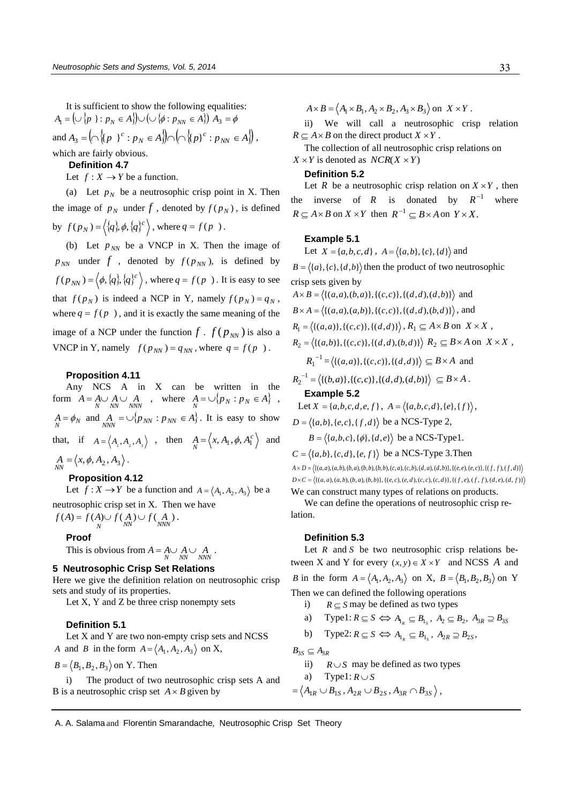It is sufficient to show the following equalities:  $A_1 = (\cup \{p\} : p_N \in A\}) \cup (\cup \{\phi : p_{NN} \in A\}) A_3 = \phi$ It is sufficient to show the following equalities:<br>  $A_1 = \left(\bigcup \{p\} : p_N \in A\right)\right) \cup \left(\bigcup \{\phi : p_{NN} \in A\}\right) A_3 = \phi$ <br>
and  $A_3 = \left(\bigcap \{p\}^c : p_N \in A\right)\right) \cap \left(\bigcap \{p\}^c : p_{NN} \in A\right)$  $c_3 = \left(\bigcap \{p\mid\}^c : p_N \in A\right\} \cap \left(\bigcap \{p\}^c : p_{NN} \in A\right\}\right),$ which are fairly obvious.

 **Definition 4.7** 

Let  $f: X \to Y$  be a function.

(a) Let  $p_N$  be a neutrosophic crisp point in X. Then the image of  $p_N$  under  $f$ , denoted by  $f(p_N)$ , is defined by  $f(p_N) = \langle \{q\}, \phi, \{q\}^c \rangle$ , where  $q = f(p)$ .

(b) Let  $p_{NN}$  be a VNCP in X. Then the image of  $p_{NN}$  under  $f$ , denoted by  $f(p_{NN})$ , is defined by  $f(p_{NN}) = \langle \phi, \{q\}, \{q\}^c \rangle$ , where  $q = f(p)$ . It is easy to see that  $f(p_N)$  is indeed a NCP in Y, namely  $f(p_N) = q_N$ , where  $q = f(p)$ , and it is exactly the same meaning of the image of a NCP under the function  $f \cdot f(p_{NN})$  is also a VNCP in Y, namely  $f(p_{NN}) = q_{NN}$ , where  $q = f(p)$ .

#### **Proposition 4.11**

Any NCS A in X can be written in the form  $A = A \cup A \cup A \atop N \quad NN \quad NNN$ , where  $A = \bigcup \{p_N : p_N \in A\}$ ,  $A = \phi_N$  and  $A \neq \bigcup \{ p_{NN} : p_{NN} \in A \}$ . It is easy to show that, if  $A = \langle A_1, A_2, A_3 \rangle$ , then  $A = \langle x, A_1, \phi, A_1^c \rangle$  $A = \langle x, A_1, \phi, A_1^c \rangle$  and  $A_{NN} = \langle x, \phi, A_2, A_3 \rangle$ .

### **Proposition 4.12**

Let  $f: X \to Y$  be a function and  $A = \langle A_1, A_2, A_3 \rangle$  be a neutrosophic crisp set in X. Then we have  $(A) = f(A) \cup f(A) \cup f(A)$  $f(A) = f(A) \cup f(A) \cup f(A)$ .

*N NN NNN*

### **Proof**

This is obvious from *N NNNNN AAAA* .

#### **5 Neutrosophic Crisp Set Relations**

Here we give the definition relation on neutrosophic crisp sets and study of its properties.

Let X, Y and Z be three crisp nonempty sets

#### **Definition 5.1**

Let X and Y are two non-empty crisp sets and NCSS *A* and *B* in the form  $A = \langle A_1, A_2, A_3 \rangle$  on X,

 $B = \langle B_1, B_2, B_3 \rangle$  on Y. Then

i) The product of two neutrosophic crisp sets A and B is a neutrosophic crisp set  $A \times B$  given by

 $A \times B = \langle A_1 \times B_1, A_2 \times B_2, A_3 \times B_3 \rangle$  on  $X \times Y$ .

ii) We will call a neutrosophic crisp relation  $R \subseteq A \times B$  on the direct product  $X \times Y$ .

The collection of all neutrosophic crisp relations on  $X \times Y$  is denoted as  $NCR(X \times Y)$ 

#### **Definition 5.2**

Let R be a neutrosophic crisp relation on  $X \times Y$ , then the inverse of R is donated by  $R^{-1}$  where  $R \subseteq A \times B$  on  $X \times Y$  then  $R^{-1} \subseteq B \times A$  on  $Y \times X$ .

#### **Example 5.1**

Let  $X = \{a,b,c,d\}$ ,  $A = \langle \{a,b\}, \{c\}, \{d\} \rangle$  and  ${B} = \langle \{a\}, \{c\}, \{d,b\} \rangle$  then the product of two neutrosophic crisp sets given by  $A \times B = \langle \{(a, a), (b, a)\}, \{(c, c)\}, \{(d, d), (d, b)\}\rangle$  and  ${B \times A = \langle \{(a, a), (a, b)\}, \{(c, c)\}, \{(d, d), (b, d)\}\rangle}$ , and  $R_1 = \langle \{(a,a)\}, \{(c,c)\}, \{(d,d)\} \rangle, R_1 \subseteq A \times B \text{ on } X \times X,$  ${R_2} = \langle {(a,b)}, {(c,c)}, {(d,d), (b,d)} \rangle \mid {R_2 \subseteq B \times A \text{ on } X \times X,}$  $R_1^{-1} = \langle \{(a,a)\}, \{(c,c)\}, \{(d,d)\} \rangle \subseteq B \times A$  and

 ${R_2}^{-1} = \langle \{(b,a)\}, \{(c,c)\}, \{(d,d),(d,b)\} \rangle \subseteq B \times A$ . **Example 5.2** 

Let  $X = \{a,b,c,d,e,f\}$ ,  $A = \langle \{a,b,c,d\}, \{e\}, \{f\} \rangle$ ,

 $D = \langle \{a,b\}, \{e,c\}, \{f,d\} \rangle$  be a NCS-Type 2,

$$
B = \langle \{a,b,c\}, \{\phi\}, \{d,e\} \rangle
$$
 be a NCS-Type1.

$$
C = \langle \{a,b\}, \{c,d\}, \{e,f\} \rangle
$$
 be a NCS-Type 3. Then

 ${A \times D} = \langle {(a, a), (a, b), (b, a), (b, b), (b, b), (c, a), (c, b), (d, a), (d, b)}, {(e, e), (e, c)}, {(f, f), (f, d)} \rangle}$  $D \times C = \langle \{(a, a), (a, b), (b, a), (b, b)\}, \{(e, c), (e, d), (c, c), (c, d)\}, \{(f, e), (f, f), (d, e), (d, f)\}\rangle$ We can construct many types of relations on products.

We can define the operations of neutrosophic crisp relation.

#### **Definition 5.3**

Let  $R$  and  $S$  be two neutrosophic crisp relations between X and Y for every  $(x, y) \in X \times Y$  and NCSS A and *B* in the form  $A = \langle A_1, A_2, A_3 \rangle$  on X,  $B = \langle B_1, B_2, B_3 \rangle$  on Y Then we can defined the following operations

- i)  $R \subseteq S$  may be defined as two types
- a) Type1:  $R \subseteq S \Leftrightarrow A_{1_R} \subseteq B_{1_S}, A_2 \subseteq B_2, A_{3R} \supseteq B_{3S}$
- b) Type2:  $R \subseteq S \iff A_{1_R} \subseteq B_{1_S}, A_{2R} \supseteq B_{2S}$ ,

$$
B_{3S} \subseteq A_{3R}
$$

ii)  $R \cup S$  may be defined as two types

a) Type1:  $R \cup S$ 

$$
=\left\langle A_{1R}\cup B_{1S}, A_{2R}\cup B_{2S}, A_{3R}\cap B_{3S}\right\rangle,
$$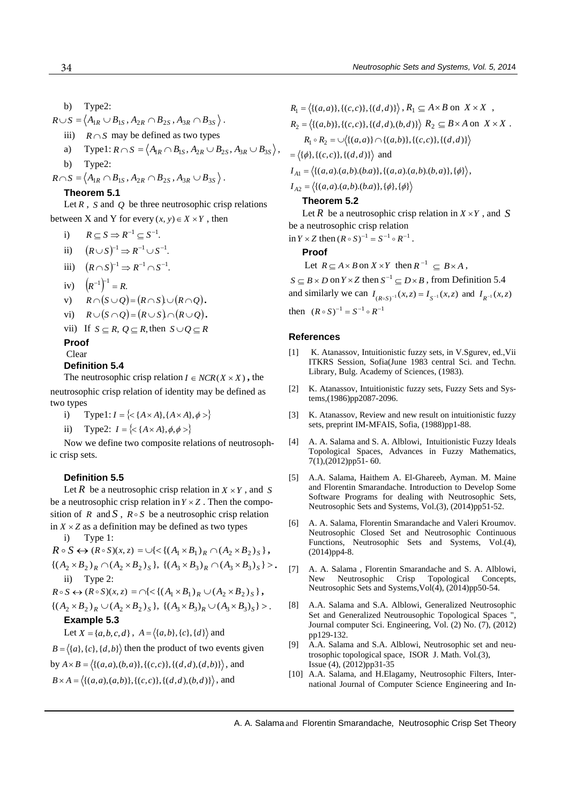b) Type2:

$$
R \cup S = \langle A_{1R} \cup B_{1S}, A_{2R} \cap B_{2S}, A_{3R} \cap B_{3S} \rangle.
$$

- iii)  $R \cap S$  may be defined as two types
- a) Type1:  $R \cap S = \langle A_{1R} \cap B_{1S}, A_{2R} \cup B_{2S}, A_{3R} \cup B_{3S} \rangle$ ,
- b) Type2:
- $R \cap S = \langle A_{1R} \cap B_{1S}, A_{2R} \cap B_{2S}, A_{3R} \cup B_{3S} \rangle$ .

### **Theorem 5.1**

Let  $R$ ,  $S$  and  $Q$  be three neutrosophic crisp relations between X and Y for every  $(x, y) \in X \times Y$ , then

i) 
$$
R \subseteq S \Rightarrow R^{-1} \subseteq S^{-1}
$$
.

ii) 
$$
(R \cup S)^{-1} \Rightarrow R^{-1} \cup S^{-1}
$$
.

- iii)  $(R \cap S)^{-1} \Rightarrow R^{-1} \cap S^{-1}$ .
- iv)  $(R^{-1})^{-1} = R$ .
- (*R* ) = *R*.<br>
(*R* ) = *R* (*S*  $\cup$  *Q*) = (*R*  $\cap$  *S*)  $\cup$  (*R*  $\cap$  *Q*).

v) 
$$
R \cap (S \cup Q) = (R \cap S) \cup (R \cap Q)
$$
.  
\nvi)  $R \cup (S \cap Q) = (R \cup S) \cap (R \cup Q)$ .

vii) If  $S \subseteq R$ ,  $Q \subseteq R$ , then  $S \cup Q \subseteq R$ 

#### **Proof**  Clear

### **Definition 5.4**

The neutrosophic crisp relation  $I \in NCR(X \times X)$ , the neutrosophic crisp relation of identity may be defined as two types

- i) Type1:  $I = \{ \langle [A \times A], \{A \times A\}, \phi \rangle \}$
- ii) Type2:  $I = \{ \langle [A \times A], \phi, \phi \rangle \}$

Now we define two composite relations of neutrosophic crisp sets.

### **Definition 5.5**

Let R be a neutrosophic crisp relation in  $X \times Y$ , and S be a neutrosophic crisp relation in  $Y \times Z$ . Then the composition of  $R$  and  $S$ ,  $R \circ S$  be a neutrosophic crisp relation in  $X \times Z$  as a definition may be defined as two types

i) Type 1:

 $R \circ S \leftrightarrow (R \circ S)(x, z) = \bigcup \{ \langle \{ (A_1 \times B_1)_{R} \cap (A_2 \times B_2)_{S} \} \rangle,$  $\{(A_2 \times B_2)_R \cap (A_2 \times B_2)_S\}, \{(A_3 \times B_3)_R \cap (A_3 \times B_3)_S\}$ . ii) Type 2:  $S(z)(A \vee B) + (A \vee B \vee B)$ 

$$
R \circ S \leftrightarrow (R \circ S)(x, z) = \bigcap \{ \langle \{ (A_1 \times B_1)_R \cup (A_2 \times B_2)_S \} ,
$$

$$
\{(A_2 \times B_2)_R \cup (A_2 \times B_2)_S\}, \{(A_3 \times B_3)_R \cup (A_3 \times B_3)_S\}>.
$$
**Example 5.3**

## Let  $X = \{a, b, c, d\}$ ,  $A = \langle \{a, b\}, \{c\}, \{d\} \rangle$  and

 ${B} = \langle \{a\}, \{c\}, \{d, b\} \rangle$  then the product of two events given by  $A \times B = \langle \{(a, a), (b, a)\}, \{(c, c)\}, \{(d, d), (d, b)\}\rangle$ , and  ${B \times A = \langle \{(a, a), (a, b)\}, \{(c, c)\}, \{(d, d), (b, d)\}\rangle}$ , and

 ${R_1} = \langle {(a,a)}, {(c,c)}, {(d,d)} \rangle, R_1 \subseteq A \times B \text{ on } X \times X ,$  ${R_2} = \langle {(a,b)}, {(c,c)}, {(d,d),(b,d)} \rangle \, R_2 \subseteq B \times A \text{ on } X \times X$ .  ${R_1 \circ R_2 = \bigcup \langle \{(a,a)\} \cap \{(a,b)\}, \{(c,c)\}, \{(d,d)\} \rangle}$  $=\langle \{\phi\}, \{(c, c)\}, \{(d, d)\}\rangle$  and  ${I_{A1}} = \langle {(a,a),(a,b),(b.a)} \rangle, {(a,a),(a,b),(b,a)} \rangle, {\phi} \rangle,$  ${I_{A2}} = \langle {(a,a),(a,b),(b.a)} , {\phi}, {\phi} \rangle$ 

### **Theorem 5.2**

Let  $R$  be a neutrosophic crisp relation in  $X \times Y$ , and  $S$ be a neutrosophic crisp relation

in  $Y \times Z$  then  $(R \circ S)^{-1} = S^{-1} \circ R^{-1}$ .

### **Proof**

Let 
$$
R \subseteq A \times B
$$
 on  $X \times Y$  then  $R^{-1} \subseteq B \times A$ ,

 $S \subseteq B \times D$  on  $Y \times Z$  then  $S^{-1} \subseteq D \times B$ , from Definition 5.4 and similarly we can  $I_{(R \circ S)^{-1}}(x, z) = I_{S^{-1}}(x, z)$  and  $I_{R^{-1}}(x, z)$ then  $(R \circ S)^{-1} = S^{-1} \circ R^{-1}$ 

## **References**

- [1] K. Atanassov, Intuitionistic fuzzy sets, in V. Sgurev, ed., Vii ITKRS Session, Sofia(June 1983 central Sci. and Techn. Library, Bulg. Academy of Sciences, (1983).
- [2] K. Atanassov, Intuitionistic fuzzy sets, Fuzzy Sets and Systems,(1986)pp2087-2096.
- [3] K. Atanassov, Review and new result on intuitionistic fuzzy sets, preprint IM-MFAIS, Sofia, (1988)pp1-88.
- [4] A. A. Salama and S. A. Alblowi, Intuitionistic Fuzzy Ideals Topological Spaces, Advances in Fuzzy Mathematics, 7(1),(2012)pp51- 60.
- [5] A.A. Salama, Haithem A. El-Ghareeb, Ayman. M. Maine and Florentin Smarandache. Introduction to Develop Some Software Programs for dealing with Neutrosophic Sets, Neutrosophic Sets and Systems, Vol.(3), (2014)pp51-52.
- [6] A. A. Salama, Florentin Smarandache and Valeri Kroumov. Neutrosophic Closed Set and Neutrosophic Continuous Functions, Neutrosophic Sets and Systems, Vol.(4), (2014)pp4-8.
- [7] A. A. Salama , Florentin Smarandache and S. A. Alblowi, New Neutrosophic Crisp Topological Concepts, Neutrosophic Sets and Systems,Vol(4), (2014)pp50-54.
- [8] A.A. Salama and S.A. Alblowi, Generalized Neutrosophic Set and Generalized Neutrousophic Topological Spaces Journal computer Sci. Engineering, Vol. (2) No. (7), (2012) pp129-132.
- [9] A.A. Salama and S.A. Alblowi, Neutrosophic set and neutrosophic topological space, ISOR J. Math. Vol.(3), Issue (4), (2012)pp31-35
- [10] A.A. Salama, and H.Elagamy, Neutrosophic Filters, International Journal of Computer Science Engineering and In-